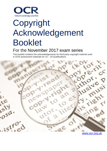

# Copyright Acknowledgement Booklet

## For the November 2017 exam series

This booklet contains the acknowledgements for third-party copyright material used in OCR assessment materials for 14 – 19 Qualifications.



[www.ocr.org.uk](http://www.ocr.org.uk/)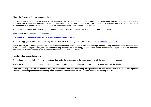#### **About the Copyright Acknowledgement Booklet**

Prior to the June 2009 examination series, acknowledgements for third-party copyright material were printed on the back page of the relevant exam papers and associated assessment materials. For security purposes, from that series onwards, OCR has created this separate booklet to include all of the acknowledgements, rather than including them in the exam papers or associated assessment materials.

The booklet is published after each examination series, as soon as the assessment materials become available to the public.

It is available online from the OCR website at:

**<http://www.ocr.org.uk/i-want-to/download-past-papers/conditions-of-use/>**

The OCR Copyright Team can be contacted by post at 1 Hills Road, Cambridge, CB1 2EU, or by email at [ocr.copyright@ocr.org.uk.](mailto:ocr.copyright@ocr.org.uk)

Where possible, OCR has sought and cleared permission to reproduce items of third-party owned copyright material. Every reasonable effort has been made by OCR to trace copyright holders, but if any items requiring clearance have unwittingly been included, please contact the Copyright Team at the addresses above and OCR will be pleased to make amends at the earliest possible opportunity.

#### **How to find an acknowledgement**

Each acknowledgement is filed firstly by subject and then under the unit number of the exam paper in which the copyright material appears.

Where an exam paper has more than one document associated with it, each document is identified with its separate acknowledgements.

**From the January 2013 series onwards, only the examination material containing third party material will be included in the Acknowledgement Booklet. Therefore please assume that any exam papers or subject areas not listed in this booklet are entirely © OCR.**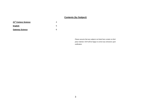### **Contents (by Subject)**

| 21 <sup>st</sup> Century Science |   |
|----------------------------------|---|
| English                          | 5 |
| <b>Gateway Science</b>           |   |

*Please assume that any subjects not listed here contain no third party material. OCR will be happy to correct any omissions upon notification.*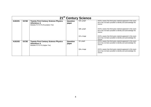<span id="page-3-0"></span>

| 21 <sup>st</sup> Century Science |             |                                                                                                         |                   |            |                                                                                                                                         |
|----------------------------------|-------------|---------------------------------------------------------------------------------------------------------|-------------------|------------|-----------------------------------------------------------------------------------------------------------------------------------------|
| A181/01                          | <b>GCSE</b> | <b>Twenty First Century Science Physics</b><br><b>A/Science A</b><br>Modules P1 P2 P3 (Foundation Tier) | Question<br>paper | Q3a, graph | OCR is aware that third party material appeared in this exam<br>but it has not been possible to identify and acknowledge the<br>source. |
|                                  |             |                                                                                                         |                   | Q6b, graph | OCR is aware that third party material appeared in this exam<br>but it has not been possible to identify and acknowledge the<br>source. |
|                                  |             |                                                                                                         |                   | Q7a, image | OCR is aware that third party material appeared in this exam<br>but it has not been possible to identify and acknowledge the<br>source. |
| A181/02                          | <b>GCSE</b> | <b>Twenty First Century Science Physics</b><br><b>A/Science A</b><br>Modules P1 P2 P3 (Higher Tier)     | Question<br>paper | Q3, graph  | OCR is aware that third party material appeared in this exam<br>but it has not been possible to identify and acknowledge the<br>source. |
|                                  |             |                                                                                                         |                   | Q5a, image | OCR is aware that third party material appeared in this exam<br>but it has not been possible to identify and acknowledge the<br>source. |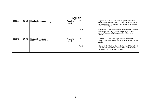<span id="page-4-0"></span>

| <b>English</b> |             |                                                                |                          |        |                                                                                                                                                                                                                  |
|----------------|-------------|----------------------------------------------------------------|--------------------------|--------|------------------------------------------------------------------------------------------------------------------------------------------------------------------------------------------------------------------|
| J351/01        | <b>GCSE</b> | <b>English Language</b><br>Communicating information and ideas | Reading<br><b>Insert</b> | Text 1 | Adapted from T Pocock, 'Trafalgar: An Eyewitness History',<br>page unknown, Penguin Books Ltd, 2005. Item reproduced by<br>kind permission of The Estate of Tom Pocock through Andrew<br>Lownie Literary Agency. |
|                |             |                                                                |                          | Text 2 | Adapted from K Holmstedt, 'Band of Sisters: American Women<br>at War in Iraq', pp vii-ix, Stackpole Books, 2007. All rights<br>reserved. Reproduced by kind permission of Rowman &<br>Littlefield.               |
| J351/02        | <b>GCSE</b> | <b>English Language</b><br>Exploring effects and impact        | Reading<br><b>Insert</b> | Text 1 | J Buchan, 'The Thirty-Nine Steps', pp82-83, Wordsworth<br>Classics, 1996. Reproduced by kind permission of Wordsworth<br>Classics.                                                                               |
|                |             |                                                                |                          | Text 2 | A Conan Doyle, 'The Hound of the Baskervilles & The Valley of<br>Fear', pp97-98, Wordsworth Classics, 1996. Reproduced by<br>kind permission of Wordsworth Classics.                                             |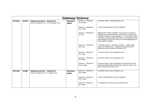<span id="page-5-0"></span>

|         | <b>Gateway Science</b> |                                                                                    |                   |                                                   |                                                                                                                                                                                                                                                                                                                                                            |  |
|---------|------------------------|------------------------------------------------------------------------------------|-------------------|---------------------------------------------------|------------------------------------------------------------------------------------------------------------------------------------------------------------------------------------------------------------------------------------------------------------------------------------------------------------------------------------------------------------|--|
| B711/01 | <b>GCSE</b>            | <b>Gateway Science - Science B</b><br>Science modules B1, C1, P1 (Foundation Tier) | Question<br>paper | Section A - Module B1,<br>Q <sub>1</sub> a, image | © asiseeit, iStock, www.istockphoto.com.                                                                                                                                                                                                                                                                                                                   |  |
|         |                        |                                                                                    |                   | Section A - Module B1.<br>Q <sub>1</sub> c, image | © SUE FORD/SCIENCE PHOTO LIBRARY.                                                                                                                                                                                                                                                                                                                          |  |
|         |                        |                                                                                    |                   | Section A - Module B1.<br>Q3, text                | Adapted from 'Impact of Malaria', www.cdc.gov, Centers for<br>Disease Control and Prevention. Permission to reproduce all<br>copyright material has been applied for. In some cases, efforts<br>to contact copyright-holders have been unsuccessful and OCR<br>will be happy to rectify any omissions of acknowledgements in<br>future papers if notified. |  |
|         |                        |                                                                                    |                   | Section A - Module B1,<br>Q5a, data               | © All rights reserved. 'Obesity in Canada'. Public Health<br>Agency of Canada, 2011. Adapted and reproduced with<br>permission from the Minister of Health, 2017.                                                                                                                                                                                          |  |
|         |                        |                                                                                    |                   | Section B - Module C1,<br>Q8, image               | © 5second, iStock, www.istockphoto.com.                                                                                                                                                                                                                                                                                                                    |  |
|         |                        |                                                                                    |                   | Section B - Module C1,<br>Q9, image               | © Edi_Eco, iStock, www.istockphoto.com.                                                                                                                                                                                                                                                                                                                    |  |
|         |                        |                                                                                    |                   | Section C - Module P1,<br>Q12b, image             | European Energy Label, Department for Environment, Food<br>and Rural Affairs (Defra). Reproduced under the terms of the<br>Open Government Licence v3.0.                                                                                                                                                                                                   |  |
| B711/02 | <b>GCSE</b>            | <b>Gateway Science - Science B</b><br>Science modules B1, C1, P1 (Higher Tier)     | Question<br>paper | Section A - Module B1,<br>Q <sub>1</sub> a, image | © asiseeit, istock, www.istockphoto.com.                                                                                                                                                                                                                                                                                                                   |  |
|         |                        |                                                                                    |                   | Section A - Module B1.<br>Q <sub>1</sub> b, image | © SUE FORD/SCIENCE PHOTO LIBRARY.                                                                                                                                                                                                                                                                                                                          |  |
|         |                        |                                                                                    |                   | Section B - Module C1,<br>Q8, image               | © PobladuraFCG, iStock, www.istockphoto.com.                                                                                                                                                                                                                                                                                                               |  |